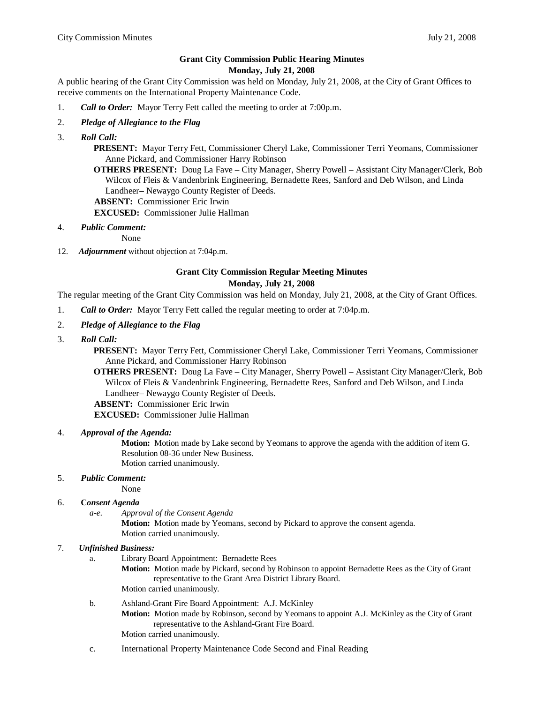# **Grant City Commission Public Hearing Minutes**

#### **Monday, July 21, 2008**

A public hearing of the Grant City Commission was held on Monday, July 21, 2008, at the City of Grant Offices to receive comments on the International Property Maintenance Code.

- 1. *Call to Order:* Mayor Terry Fett called the meeting to order at 7:00p.m.
- 2. *Pledge of Allegiance to the Flag*
- 3. *Roll Call:*

**PRESENT:** Mayor Terry Fett, Commissioner Cheryl Lake, Commissioner Terri Yeomans, Commissioner Anne Pickard, and Commissioner Harry Robinson

**OTHERS PRESENT:** Doug La Fave – City Manager, Sherry Powell – Assistant City Manager/Clerk, Bob Wilcox of Fleis & Vandenbrink Engineering, Bernadette Rees, Sanford and Deb Wilson, and Linda Landheer– Newaygo County Register of Deeds.

 **ABSENT:** Commissioner Eric Irwin

**EXCUSED:** Commissioner Julie Hallman

4. *Public Comment:*

None

12. *Adjournment* without objection at 7:04p.m.

## **Grant City Commission Regular Meeting Minutes Monday, July 21, 2008**

The regular meeting of the Grant City Commission was held on Monday, July 21, 2008, at the City of Grant Offices.

- 1. *Call to Order:* Mayor Terry Fett called the regular meeting to order at 7:04p.m.
- 2. *Pledge of Allegiance to the Flag*
- 3. *Roll Call:*

**PRESENT:** Mayor Terry Fett, Commissioner Cheryl Lake, Commissioner Terri Yeomans, Commissioner Anne Pickard, and Commissioner Harry Robinson

**OTHERS PRESENT:** Doug La Fave – City Manager, Sherry Powell – Assistant City Manager/Clerk, Bob Wilcox of Fleis & Vandenbrink Engineering, Bernadette Rees, Sanford and Deb Wilson, and Linda Landheer– Newaygo County Register of Deeds.

 **ABSENT:** Commissioner Eric Irwin

**EXCUSED:** Commissioner Julie Hallman

### 4. *Approval of the Agenda:*

**Motion:** Motion made by Lake second by Yeomans to approve the agenda with the addition of item G. Resolution 08-36 under New Business. Motion carried unanimously.

### 5. *Public Comment:*

None

### 6. **C***onsent Agenda*

*a-e. Approval of the Consent Agenda*

**Motion:** Motion made by Yeomans, second by Pickard to approve the consent agenda. Motion carried unanimously.

### 7. *Unfinished Business:*

a. Library Board Appointment: Bernadette Rees

**Motion:** Motion made by Pickard, second by Robinson to appoint Bernadette Rees as the City of Grant representative to the Grant Area District Library Board. Motion carried unanimously.

- b. Ashland-Grant Fire Board Appointment: A.J. McKinley **Motion:** Motion made by Robinson, second by Yeomans to appoint A.J. McKinley as the City of Grant representative to the Ashland-Grant Fire Board. Motion carried unanimously.
- c. International Property Maintenance Code Second and Final Reading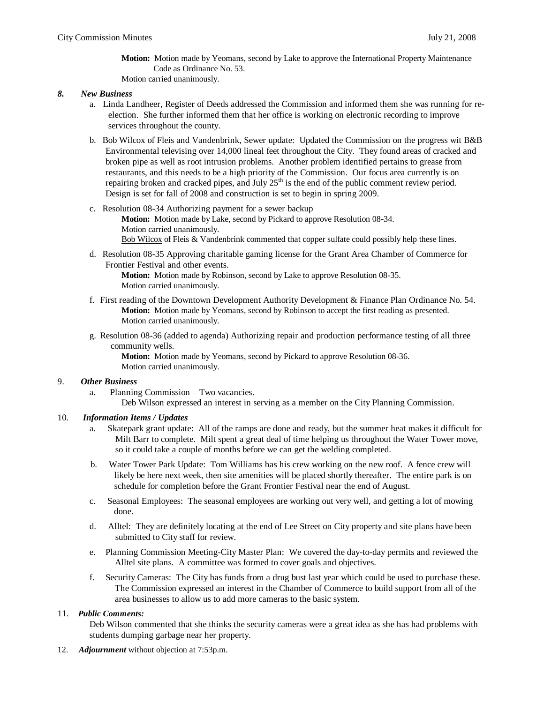**Motion:** Motion made by Yeomans, second by Lake to approve the International Property Maintenance Code as Ordinance No. 53. Motion carried unanimously.

#### *8. New Business*

- a. Linda Landheer, Register of Deeds addressed the Commission and informed them she was running for re election. She further informed them that her office is working on electronic recording to improve services throughout the county.
- b. Bob Wilcox of Fleis and Vandenbrink, Sewer update: Updated the Commission on the progress wit B&B Environmental televising over 14,000 lineal feet throughout the City. They found areas of cracked and broken pipe as well as root intrusion problems. Another problem identified pertains to grease from restaurants, and this needs to be a high priority of the Commission. Our focus area currently is on repairing broken and cracked pipes, and July  $25<sup>th</sup>$  is the end of the public comment review period. Design is set for fall of 2008 and construction is set to begin in spring 2009.
- c. Resolution 08-34 Authorizing payment for a sewer backup **Motion:** Motion made by Lake, second by Pickard to approve Resolution 08-34. Motion carried unanimously. Bob Wilcox of Fleis & Vandenbrink commented that copper sulfate could possibly help these lines.
- d. Resolution 08-35 Approving charitable gaming license for the Grant Area Chamber of Commerce for Frontier Festival and other events.

**Motion:** Motion made by Robinson, second by Lake to approve Resolution 08-35. Motion carried unanimously.

- f. First reading of the Downtown Development Authority Development & Finance Plan Ordinance No. 54. **Motion:** Motion made by Yeomans, second by Robinson to accept the first reading as presented. Motion carried unanimously.
- g. Resolution 08-36 (added to agenda) Authorizing repair and production performance testing of all three community wells.

**Motion:** Motion made by Yeomans, second by Pickard to approve Resolution 08-36. Motion carried unanimously.

### 9. *Other Business*

a. Planning Commission – Two vacancies. Deb Wilson expressed an interest in serving as a member on the City Planning Commission.

### 10. *Information Items / Updates*

- a. Skatepark grant update: All of the ramps are done and ready, but the summer heat makes it difficult for Milt Barr to complete. Milt spent a great deal of time helping us throughout the Water Tower move, so it could take a couple of months before we can get the welding completed.
- b. Water Tower Park Update: Tom Williams has his crew working on the new roof. A fence crew will likely be here next week, then site amenities will be placed shortly thereafter. The entire park is on schedule for completion before the Grant Frontier Festival near the end of August.
- c. Seasonal Employees: The seasonal employees are working out very well, and getting a lot of mowing done.
- d. Alltel: They are definitely locating at the end of Lee Street on City property and site plans have been submitted to City staff for review.
- e. Planning Commission Meeting-City Master Plan: We covered the day-to-day permits and reviewed the Alltel site plans. A committee was formed to cover goals and objectives.
- f. Security Cameras: The City has funds from a drug bust last year which could be used to purchase these. The Commission expressed an interest in the Chamber of Commerce to build support from all of the area businesses to allow us to add more cameras to the basic system.

### 11. *Public Comments:*

Deb Wilson commented that she thinks the security cameras were a great idea as she has had problems with students dumping garbage near her property.

12. *Adjournment* without objection at 7:53p.m.